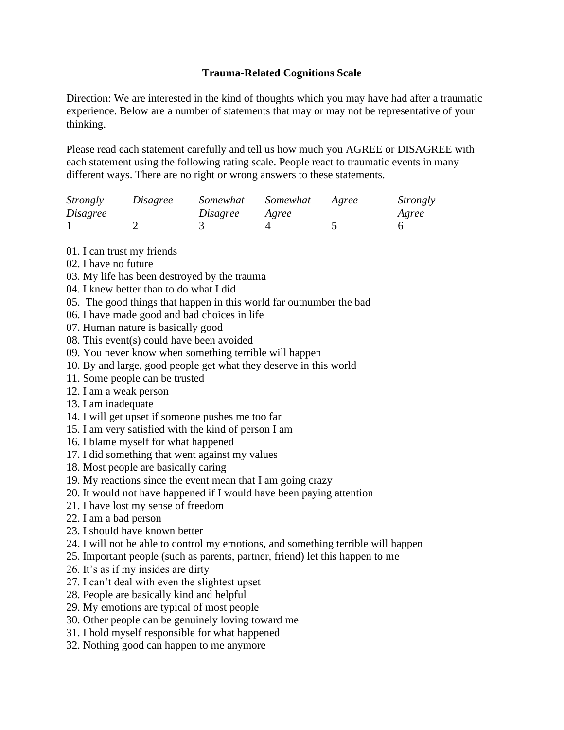## **Trauma-Related Cognitions Scale**

Direction: We are interested in the kind of thoughts which you may have had after a traumatic experience. Below are a number of statements that may or may not be representative of your thinking.

Please read each statement carefully and tell us how much you AGREE or DISAGREE with each statement using the following rating scale. People react to traumatic events in many different ways. There are no right or wrong answers to these statements.

| <i>Strongly</i> | Disagree | Somewhat | Somewhat | Agree | Strongly |
|-----------------|----------|----------|----------|-------|----------|
| Disagree        |          | Disagree | Agree    |       | Agree    |
|                 |          |          |          |       |          |

01. I can trust my friends

- 02. I have no future
- 03. My life has been destroyed by the trauma
- 04. I knew better than to do what I did
- 05. The good things that happen in this world far outnumber the bad
- 06. I have made good and bad choices in life
- 07. Human nature is basically good
- 08. This event(s) could have been avoided
- 09. You never know when something terrible will happen
- 10. By and large, good people get what they deserve in this world
- 11. Some people can be trusted
- 12. I am a weak person
- 13. I am inadequate
- 14. I will get upset if someone pushes me too far
- 15. I am very satisfied with the kind of person I am
- 16. I blame myself for what happened
- 17. I did something that went against my values
- 18. Most people are basically caring
- 19. My reactions since the event mean that I am going crazy
- 20. It would not have happened if I would have been paying attention
- 21. I have lost my sense of freedom
- 22. I am a bad person
- 23. I should have known better
- 24. I will not be able to control my emotions, and something terrible will happen
- 25. Important people (such as parents, partner, friend) let this happen to me
- 26. It's as if my insides are dirty
- 27. I can't deal with even the slightest upset
- 28. People are basically kind and helpful
- 29. My emotions are typical of most people
- 30. Other people can be genuinely loving toward me
- 31. I hold myself responsible for what happened
- 32. Nothing good can happen to me anymore